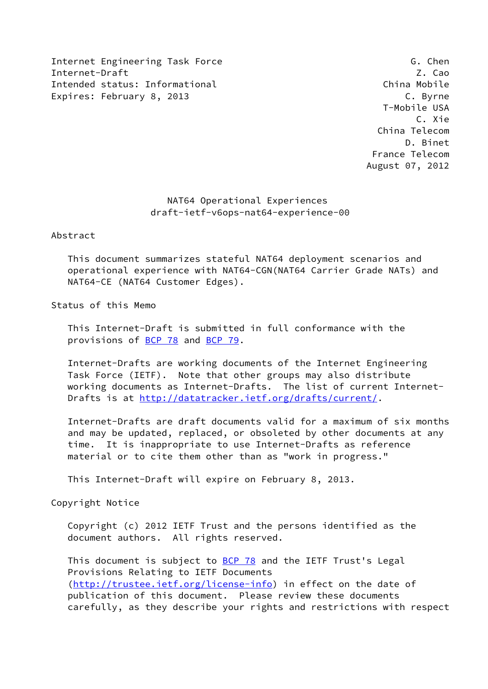Internet Engineering Task Force G. Chen Internet-Draft Z. Cao Intended status: Informational China Mobile Expires: February 8, 2013 C. Byrne

 T-Mobile USA C. Xie China Telecom D. Binet France Telecom August 07, 2012

# NAT64 Operational Experiences draft-ietf-v6ops-nat64-experience-00

Abstract

 This document summarizes stateful NAT64 deployment scenarios and operational experience with NAT64-CGN(NAT64 Carrier Grade NATs) and NAT64-CE (NAT64 Customer Edges).

Status of this Memo

 This Internet-Draft is submitted in full conformance with the provisions of [BCP 78](https://datatracker.ietf.org/doc/pdf/bcp78) and [BCP 79](https://datatracker.ietf.org/doc/pdf/bcp79).

 Internet-Drafts are working documents of the Internet Engineering Task Force (IETF). Note that other groups may also distribute working documents as Internet-Drafts. The list of current Internet- Drafts is at<http://datatracker.ietf.org/drafts/current/>.

 Internet-Drafts are draft documents valid for a maximum of six months and may be updated, replaced, or obsoleted by other documents at any time. It is inappropriate to use Internet-Drafts as reference material or to cite them other than as "work in progress."

This Internet-Draft will expire on February 8, 2013.

Copyright Notice

 Copyright (c) 2012 IETF Trust and the persons identified as the document authors. All rights reserved.

This document is subject to **[BCP 78](https://datatracker.ietf.org/doc/pdf/bcp78)** and the IETF Trust's Legal Provisions Relating to IETF Documents [\(http://trustee.ietf.org/license-info](http://trustee.ietf.org/license-info)) in effect on the date of publication of this document. Please review these documents carefully, as they describe your rights and restrictions with respect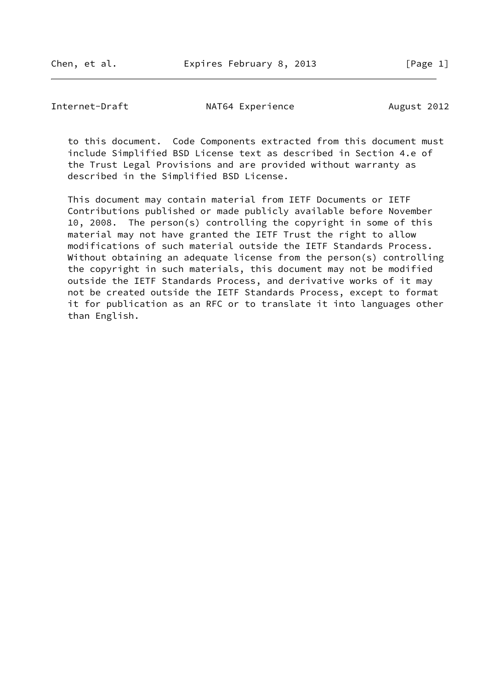Internet-Draft MAT64 Experience August 2012

 to this document. Code Components extracted from this document must include Simplified BSD License text as described in Section 4.e of the Trust Legal Provisions and are provided without warranty as described in the Simplified BSD License.

 This document may contain material from IETF Documents or IETF Contributions published or made publicly available before November 10, 2008. The person(s) controlling the copyright in some of this material may not have granted the IETF Trust the right to allow modifications of such material outside the IETF Standards Process. Without obtaining an adequate license from the person(s) controlling the copyright in such materials, this document may not be modified outside the IETF Standards Process, and derivative works of it may not be created outside the IETF Standards Process, except to format it for publication as an RFC or to translate it into languages other than English.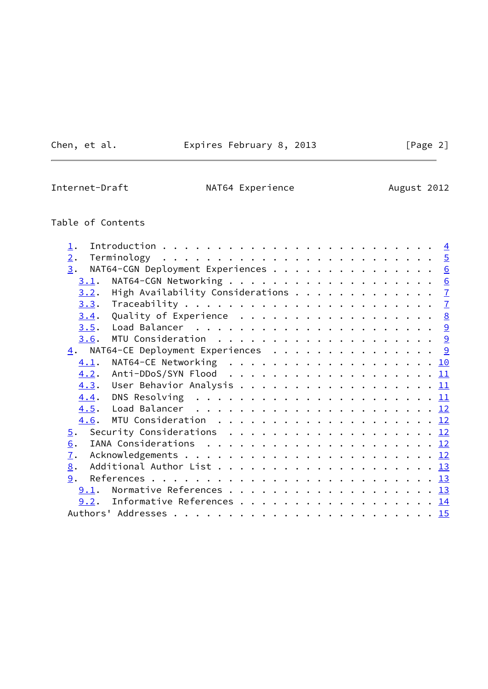Chen, et al. **Expires February 8, 2013** [Page 2]

 $\overline{\phantom{0}}$ 

Internet-Draft **NAT64 Experience** August 2012

# Table of Contents

| $\perp$ .        |                                                     |  |
|------------------|-----------------------------------------------------|--|
| 2.               |                                                     |  |
| 3.               | NAT64-CGN Deployment Experiences 6                  |  |
| 3.1.             |                                                     |  |
| 3.2.             | High Availability Considerations 7                  |  |
|                  |                                                     |  |
| 3.4.             | Quality of Experience 8                             |  |
| 3.5.             |                                                     |  |
| 3.6.             |                                                     |  |
|                  | $\underline{4}$ . NAT64-CE Deployment Experiences 9 |  |
| 4.1.             | NAT64-CE Networking 10                              |  |
| 4.2.             |                                                     |  |
|                  |                                                     |  |
| 4.4.             |                                                     |  |
| 4.5.             |                                                     |  |
|                  |                                                     |  |
| $\overline{5}$ . | Security Considerations <u>12</u>                   |  |
| 6.               |                                                     |  |
| $\mathbf{I}$ .   |                                                     |  |
| 8.               |                                                     |  |
| 9.               |                                                     |  |
|                  | 9.1. Normative References 13                        |  |
|                  | 9.2. Informative References 14                      |  |
|                  |                                                     |  |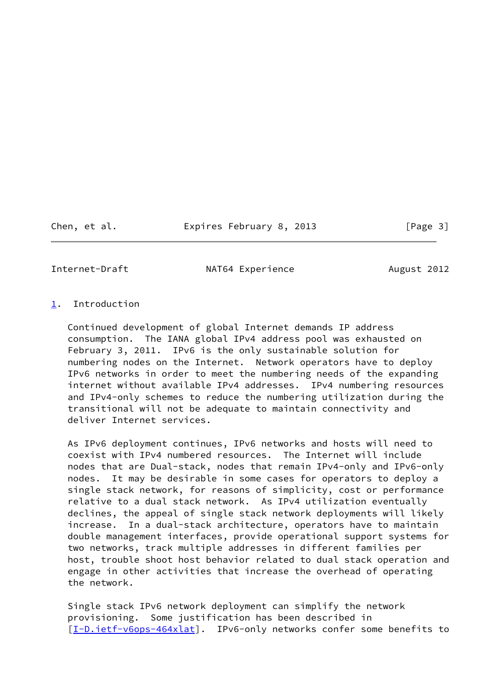Chen, et al. Expires February 8, 2013 [Page 3]

<span id="page-3-1"></span>

Internet-Draft MAT64 Experience August 2012

# <span id="page-3-0"></span>[1](#page-3-0). Introduction

 Continued development of global Internet demands IP address consumption. The IANA global IPv4 address pool was exhausted on February 3, 2011. IPv6 is the only sustainable solution for numbering nodes on the Internet. Network operators have to deploy IPv6 networks in order to meet the numbering needs of the expanding internet without available IPv4 addresses. IPv4 numbering resources and IPv4-only schemes to reduce the numbering utilization during the transitional will not be adequate to maintain connectivity and deliver Internet services.

 As IPv6 deployment continues, IPv6 networks and hosts will need to coexist with IPv4 numbered resources. The Internet will include nodes that are Dual-stack, nodes that remain IPv4-only and IPv6-only nodes. It may be desirable in some cases for operators to deploy a single stack network, for reasons of simplicity, cost or performance relative to a dual stack network. As IPv4 utilization eventually declines, the appeal of single stack network deployments will likely increase. In a dual-stack architecture, operators have to maintain double management interfaces, provide operational support systems for two networks, track multiple addresses in different families per host, trouble shoot host behavior related to dual stack operation and engage in other activities that increase the overhead of operating the network.

 Single stack IPv6 network deployment can simplify the network provisioning. Some justification has been described in [\[I-D.ietf-v6ops-464xlat](#page-15-1)]. IPv6-only networks confer some benefits to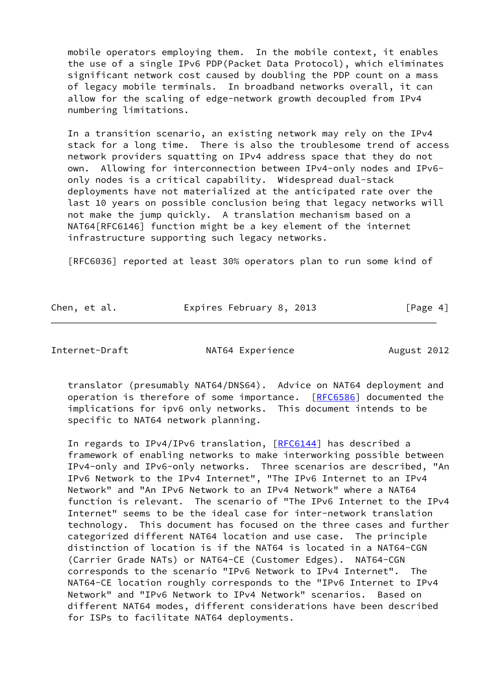mobile operators employing them. In the mobile context, it enables the use of a single IPv6 PDP(Packet Data Protocol), which eliminates significant network cost caused by doubling the PDP count on a mass of legacy mobile terminals. In broadband networks overall, it can allow for the scaling of edge-network growth decoupled from IPv4 numbering limitations.

 In a transition scenario, an existing network may rely on the IPv4 stack for a long time. There is also the troublesome trend of access network providers squatting on IPv4 address space that they do not own. Allowing for interconnection between IPv4-only nodes and IPv6 only nodes is a critical capability. Widespread dual-stack deployments have not materialized at the anticipated rate over the last 10 years on possible conclusion being that legacy networks will not make the jump quickly. A translation mechanism based on a NAT64[RFC6146] function might be a key element of the internet infrastructure supporting such legacy networks.

[RFC6036] reported at least 30% operators plan to run some kind of

| Chen, et al. | Expires February 8, 2013 | [Page 4] |
|--------------|--------------------------|----------|
|              |                          |          |

<span id="page-4-0"></span>

Internet-Draft NAT64 Experience August 2012

 translator (presumably NAT64/DNS64). Advice on NAT64 deployment and operation is therefore of some importance. [\[RFC6586](https://datatracker.ietf.org/doc/pdf/rfc6586)] documented the implications for ipv6 only networks. This document intends to be specific to NAT64 network planning.

 In regards to IPv4/IPv6 translation, [\[RFC6144](https://datatracker.ietf.org/doc/pdf/rfc6144)] has described a framework of enabling networks to make interworking possible between IPv4-only and IPv6-only networks. Three scenarios are described, "An IPv6 Network to the IPv4 Internet", "The IPv6 Internet to an IPv4 Network" and "An IPv6 Network to an IPv4 Network" where a NAT64 function is relevant. The scenario of "The IPv6 Internet to the IPv4 Internet" seems to be the ideal case for inter-network translation technology. This document has focused on the three cases and further categorized different NAT64 location and use case. The principle distinction of location is if the NAT64 is located in a NAT64-CGN (Carrier Grade NATs) or NAT64-CE (Customer Edges). NAT64-CGN corresponds to the scenario "IPv6 Network to IPv4 Internet". The NAT64-CE location roughly corresponds to the "IPv6 Internet to IPv4 Network" and "IPv6 Network to IPv4 Network" scenarios. Based on different NAT64 modes, different considerations have been described for ISPs to facilitate NAT64 deployments.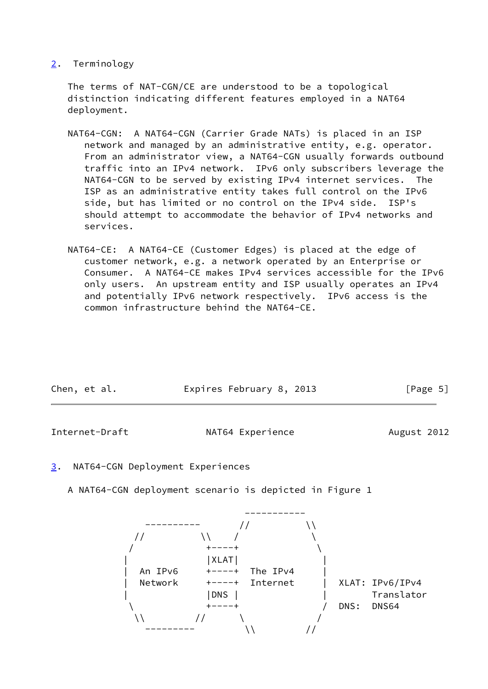<span id="page-5-0"></span>[2](#page-5-0). Terminology

 The terms of NAT-CGN/CE are understood to be a topological distinction indicating different features employed in a NAT64 deployment.

- NAT64-CGN: A NAT64-CGN (Carrier Grade NATs) is placed in an ISP network and managed by an administrative entity, e.g. operator. From an administrator view, a NAT64-CGN usually forwards outbound traffic into an IPv4 network. IPv6 only subscribers leverage the NAT64-CGN to be served by existing IPv4 internet services. The ISP as an administrative entity takes full control on the IPv6 side, but has limited or no control on the IPv4 side. ISP's should attempt to accommodate the behavior of IPv4 networks and services.
- NAT64-CE: A NAT64-CE (Customer Edges) is placed at the edge of customer network, e.g. a network operated by an Enterprise or Consumer. A NAT64-CE makes IPv4 services accessible for the IPv6 only users. An upstream entity and ISP usually operates an IPv4 and potentially IPv6 network respectively. IPv6 access is the common infrastructure behind the NAT64-CE.

| Chen, et al. | Expires February 8, 2013 | [Page 5] |
|--------------|--------------------------|----------|
|--------------|--------------------------|----------|

<span id="page-5-2"></span>Internet-Draft **NAT64 Experience** August 2012

- <span id="page-5-1"></span>[3](#page-5-1). NAT64-CGN Deployment Experiences
	- A NAT64-CGN deployment scenario is depicted in Figure 1

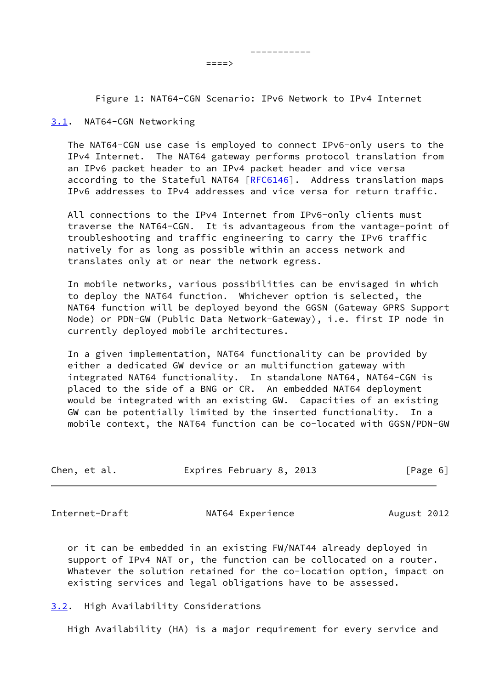====><br>====>

Figure 1: NAT64-CGN Scenario: IPv6 Network to IPv4 Internet

-----------

#### <span id="page-6-0"></span>[3.1](#page-6-0). NAT64-CGN Networking

 The NAT64-CGN use case is employed to connect IPv6-only users to the IPv4 Internet. The NAT64 gateway performs protocol translation from an IPv6 packet header to an IPv4 packet header and vice versa according to the Stateful NAT64  $[REC6146]$ . Address translation maps IPv6 addresses to IPv4 addresses and vice versa for return traffic.

 All connections to the IPv4 Internet from IPv6-only clients must traverse the NAT64-CGN. It is advantageous from the vantage-point of troubleshooting and traffic engineering to carry the IPv6 traffic natively for as long as possible within an access network and translates only at or near the network egress.

 In mobile networks, various possibilities can be envisaged in which to deploy the NAT64 function. Whichever option is selected, the NAT64 function will be deployed beyond the GGSN (Gateway GPRS Support Node) or PDN-GW (Public Data Network-Gateway), i.e. first IP node in currently deployed mobile architectures.

 In a given implementation, NAT64 functionality can be provided by either a dedicated GW device or an multifunction gateway with integrated NAT64 functionality. In standalone NAT64, NAT64-CGN is placed to the side of a BNG or CR. An embedded NAT64 deployment would be integrated with an existing GW. Capacities of an existing GW can be potentially limited by the inserted functionality. In a mobile context, the NAT64 function can be co-located with GGSN/PDN-GW

| Chen, et al. | Expires February 8, 2013 |  | [Page 6] |  |
|--------------|--------------------------|--|----------|--|
|              |                          |  |          |  |

<span id="page-6-2"></span>Internet-Draft **NAT64 Experience** August 2012

 or it can be embedded in an existing FW/NAT44 already deployed in support of IPv4 NAT or, the function can be collocated on a router. Whatever the solution retained for the co-location option, impact on existing services and legal obligations have to be assessed.

<span id="page-6-1"></span>[3.2](#page-6-1). High Availability Considerations

High Availability (HA) is a major requirement for every service and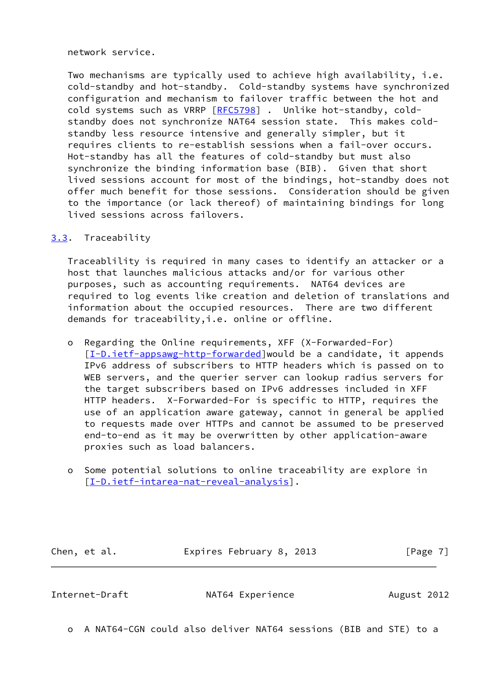network service.

 Two mechanisms are typically used to achieve high availability, i.e. cold-standby and hot-standby. Cold-standby systems have synchronized configuration and mechanism to failover traffic between the hot and cold systems such as VRRP [[RFC5798](https://datatracker.ietf.org/doc/pdf/rfc5798)] . Unlike hot-standby, cold standby does not synchronize NAT64 session state. This makes cold standby less resource intensive and generally simpler, but it requires clients to re-establish sessions when a fail-over occurs. Hot-standby has all the features of cold-standby but must also synchronize the binding information base (BIB). Given that short lived sessions account for most of the bindings, hot-standby does not offer much benefit for those sessions. Consideration should be given to the importance (or lack thereof) of maintaining bindings for long lived sessions across failovers.

# <span id="page-7-0"></span>[3.3](#page-7-0). Traceability

 Traceablility is required in many cases to identify an attacker or a host that launches malicious attacks and/or for various other purposes, such as accounting requirements. NAT64 devices are required to log events like creation and deletion of translations and information about the occupied resources. There are two different demands for traceability,i.e. online or offline.

- o Regarding the Online requirements, XFF (X-Forwarded-For) [[I-D.ietf-appsawg-http-forwarded\]](#page-15-2)would be a candidate, it appends IPv6 address of subscribers to HTTP headers which is passed on to WEB servers, and the querier server can lookup radius servers for the target subscribers based on IPv6 addresses included in XFF HTTP headers. X-Forwarded-For is specific to HTTP, requires the use of an application aware gateway, cannot in general be applied to requests made over HTTPs and cannot be assumed to be preserved end-to-end as it may be overwritten by other application-aware proxies such as load balancers.
- o Some potential solutions to online traceability are explore in [[I-D.ietf-intarea-nat-reveal-analysis\]](#page-15-3).

Chen, et al. **Expires February 8, 2013** [Page 7]

<span id="page-7-1"></span>Internet-Draft MAT64 Experience August 2012

o A NAT64-CGN could also deliver NAT64 sessions (BIB and STE) to a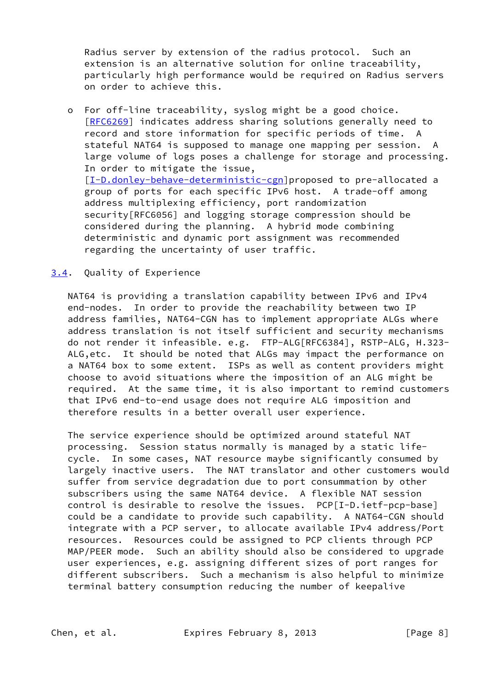Radius server by extension of the radius protocol. Such an extension is an alternative solution for online traceability, particularly high performance would be required on Radius servers on order to achieve this.

 o For off-line traceability, syslog might be a good choice. [[RFC6269\]](https://datatracker.ietf.org/doc/pdf/rfc6269) indicates address sharing solutions generally need to record and store information for specific periods of time. A stateful NAT64 is supposed to manage one mapping per session. A large volume of logs poses a challenge for storage and processing. In order to mitigate the issue, [[I-D.donley-behave-deterministic-cgn\]](#page-14-4)proposed to pre-allocated a group of ports for each specific IPv6 host. A trade-off among address multiplexing efficiency, port randomization security[RFC6056] and logging storage compression should be considered during the planning. A hybrid mode combining deterministic and dynamic port assignment was recommended regarding the uncertainty of user traffic.

## <span id="page-8-0"></span>[3.4](#page-8-0). Quality of Experience

 NAT64 is providing a translation capability between IPv6 and IPv4 end-nodes. In order to provide the reachability between two IP address families, NAT64-CGN has to implement appropriate ALGs where address translation is not itself sufficient and security mechanisms do not render it infeasible. e.g. FTP-ALG[RFC6384], RSTP-ALG, H.323- ALG,etc. It should be noted that ALGs may impact the performance on a NAT64 box to some extent. ISPs as well as content providers might choose to avoid situations where the imposition of an ALG might be required. At the same time, it is also important to remind customers that IPv6 end-to-end usage does not require ALG imposition and therefore results in a better overall user experience.

 The service experience should be optimized around stateful NAT processing. Session status normally is managed by a static life cycle. In some cases, NAT resource maybe significantly consumed by largely inactive users. The NAT translator and other customers would suffer from service degradation due to port consummation by other subscribers using the same NAT64 device. A flexible NAT session control is desirable to resolve the issues. PCP[I-D.ietf-pcp-base] could be a candidate to provide such capability. A NAT64-CGN should integrate with a PCP server, to allocate available IPv4 address/Port resources. Resources could be assigned to PCP clients through PCP MAP/PEER mode. Such an ability should also be considered to upgrade user experiences, e.g. assigning different sizes of port ranges for different subscribers. Such a mechanism is also helpful to minimize terminal battery consumption reducing the number of keepalive

Chen, et al. **Expires February 8, 2013** [Page 8]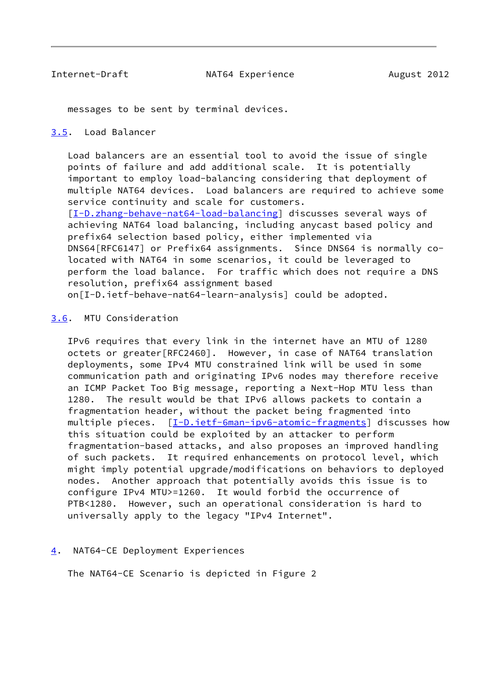<span id="page-9-1"></span>messages to be sent by terminal devices.

# <span id="page-9-0"></span>[3.5](#page-9-0). Load Balancer

 Load balancers are an essential tool to avoid the issue of single points of failure and add additional scale. It is potentially important to employ load-balancing considering that deployment of multiple NAT64 devices. Load balancers are required to achieve some service continuity and scale for customers. [\[I-D.zhang-behave-nat64-load-balancing](#page-15-4)] discusses several ways of achieving NAT64 load balancing, including anycast based policy and prefix64 selection based policy, either implemented via DNS64[RFC6147] or Prefix64 assignments. Since DNS64 is normally co located with NAT64 in some scenarios, it could be leveraged to perform the load balance. For traffic which does not require a DNS resolution, prefix64 assignment based on[I-D.ietf-behave-nat64-learn-analysis] could be adopted.

#### <span id="page-9-2"></span>[3.6](#page-9-2). MTU Consideration

 IPv6 requires that every link in the internet have an MTU of 1280 octets or greater[RFC2460]. However, in case of NAT64 translation deployments, some IPv4 MTU constrained link will be used in some communication path and originating IPv6 nodes may therefore receive an ICMP Packet Too Big message, reporting a Next-Hop MTU less than 1280. The result would be that IPv6 allows packets to contain a fragmentation header, without the packet being fragmented into multiple pieces. [[I-D.ietf-6man-ipv6-atomic-fragments](#page-15-5)] discusses how this situation could be exploited by an attacker to perform fragmentation-based attacks, and also proposes an improved handling of such packets. It required enhancements on protocol level, which might imply potential upgrade/modifications on behaviors to deployed nodes. Another approach that potentially avoids this issue is to configure IPv4 MTU>=1260. It would forbid the occurrence of PTB<1280. However, such an operational consideration is hard to universally apply to the legacy "IPv4 Internet".

## <span id="page-9-3"></span>[4](#page-9-3). NAT64-CE Deployment Experiences

The NAT64-CE Scenario is depicted in Figure 2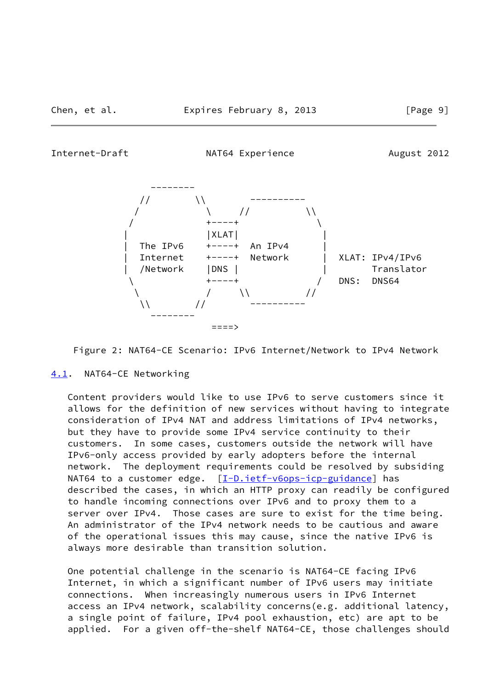<span id="page-10-1"></span>Internet-Draft MAT64 Experience August 2012



Figure 2: NAT64-CE Scenario: IPv6 Internet/Network to IPv4 Network

<span id="page-10-0"></span>[4.1](#page-10-0). NAT64-CE Networking

 Content providers would like to use IPv6 to serve customers since it allows for the definition of new services without having to integrate consideration of IPv4 NAT and address limitations of IPv4 networks, but they have to provide some IPv4 service continuity to their customers. In some cases, customers outside the network will have IPv6-only access provided by early adopters before the internal network. The deployment requirements could be resolved by subsiding NAT64 to a customer edge.  $[I-D.iett-v6ops-icp-guidance]$  has described the cases, in which an HTTP proxy can readily be configured to handle incoming connections over IPv6 and to proxy them to a server over IPv4. Those cases are sure to exist for the time being. An administrator of the IPv4 network needs to be cautious and aware of the operational issues this may cause, since the native IPv6 is always more desirable than transition solution.

 One potential challenge in the scenario is NAT64-CE facing IPv6 Internet, in which a significant number of IPv6 users may initiate connections. When increasingly numerous users in IPv6 Internet access an IPv4 network, scalability concerns(e.g. additional latency, a single point of failure, IPv4 pool exhaustion, etc) are apt to be applied. For a given off-the-shelf NAT64-CE, those challenges should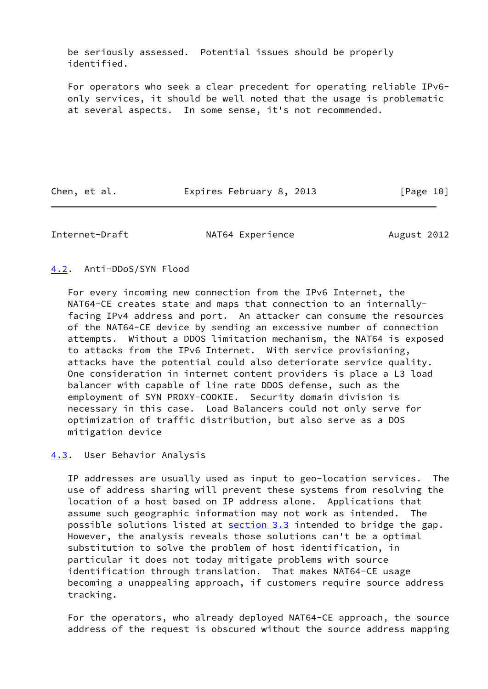be seriously assessed. Potential issues should be properly identified.

 For operators who seek a clear precedent for operating reliable IPv6 only services, it should be well noted that the usage is problematic at several aspects. In some sense, it's not recommended.

Chen, et al. Expires February 8, 2013 [Page 10]

<span id="page-11-1"></span>Internet-Draft MAT64 Experience August 2012

<span id="page-11-0"></span>[4.2](#page-11-0). Anti-DDoS/SYN Flood

 For every incoming new connection from the IPv6 Internet, the NAT64-CE creates state and maps that connection to an internally facing IPv4 address and port. An attacker can consume the resources of the NAT64-CE device by sending an excessive number of connection attempts. Without a DDOS limitation mechanism, the NAT64 is exposed to attacks from the IPv6 Internet. With service provisioning, attacks have the potential could also deteriorate service quality. One consideration in internet content providers is place a L3 load balancer with capable of line rate DDOS defense, such as the employment of SYN PROXY-COOKIE. Security domain division is necessary in this case. Load Balancers could not only serve for optimization of traffic distribution, but also serve as a DOS mitigation device

<span id="page-11-2"></span>[4.3](#page-11-2). User Behavior Analysis

 IP addresses are usually used as input to geo-location services. The use of address sharing will prevent these systems from resolving the location of a host based on IP address alone. Applications that assume such geographic information may not work as intended. The possible solutions listed at **section 3.3** intended to bridge the gap. However, the analysis reveals those solutions can't be a optimal substitution to solve the problem of host identification, in particular it does not today mitigate problems with source identification through translation. That makes NAT64-CE usage becoming a unappealing approach, if customers require source address tracking.

 For the operators, who already deployed NAT64-CE approach, the source address of the request is obscured without the source address mapping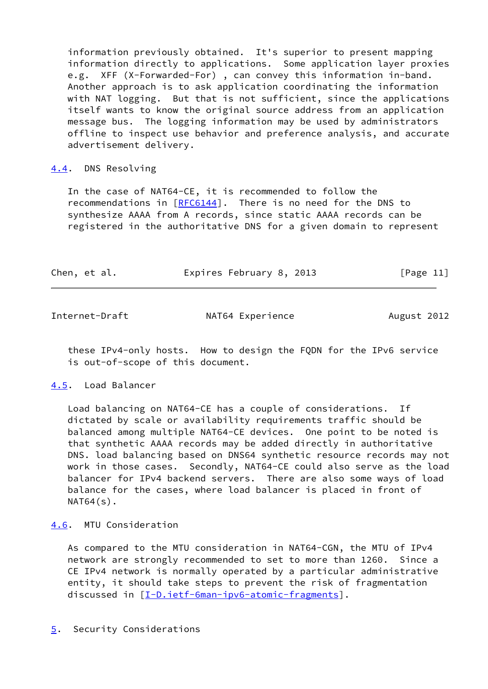information previously obtained. It's superior to present mapping information directly to applications. Some application layer proxies e.g. XFF (X-Forwarded-For) , can convey this information in-band. Another approach is to ask application coordinating the information with NAT logging. But that is not sufficient, since the applications itself wants to know the original source address from an application message bus. The logging information may be used by administrators offline to inspect use behavior and preference analysis, and accurate advertisement delivery.

#### <span id="page-12-0"></span>[4.4](#page-12-0). DNS Resolving

 In the case of NAT64-CE, it is recommended to follow the recommendations in  $[REG144]$ . There is no need for the DNS to synthesize AAAA from A records, since static AAAA records can be registered in the authoritative DNS for a given domain to represent

| Chen, et al. | Expires February 8, 2013 | [Page 11] |
|--------------|--------------------------|-----------|
|              |                          |           |

<span id="page-12-2"></span>Internet-Draft **NAT64 Experience** August 2012

 these IPv4-only hosts. How to design the FQDN for the IPv6 service is out-of-scope of this document.

## <span id="page-12-1"></span>[4.5](#page-12-1). Load Balancer

 Load balancing on NAT64-CE has a couple of considerations. If dictated by scale or availability requirements traffic should be balanced among multiple NAT64-CE devices. One point to be noted is that synthetic AAAA records may be added directly in authoritative DNS. load balancing based on DNS64 synthetic resource records may not work in those cases. Secondly, NAT64-CE could also serve as the load balancer for IPv4 backend servers. There are also some ways of load balance for the cases, where load balancer is placed in front of  $NAT64(s)$ .

<span id="page-12-3"></span>[4.6](#page-12-3). MTU Consideration

 As compared to the MTU consideration in NAT64-CGN, the MTU of IPv4 network are strongly recommended to set to more than 1260. Since a CE IPv4 network is normally operated by a particular administrative entity, it should take steps to prevent the risk of fragmentation discussed in [\[I-D.ietf-6man-ipv6-atomic-fragments](#page-15-5)].

<span id="page-12-4"></span>[5](#page-12-4). Security Considerations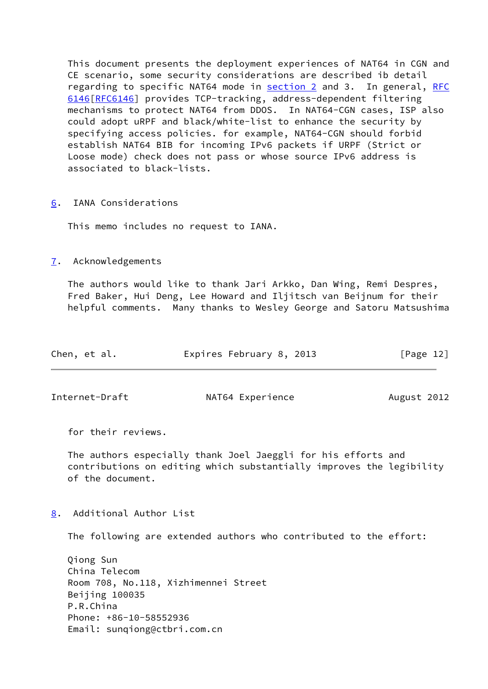This document presents the deployment experiences of NAT64 in CGN and CE scenario, some security considerations are described ib detail regarding to specific NAT64 mode in **section 2** and 3. In general, [RFC](https://datatracker.ietf.org/doc/pdf/rfc6146) [6146\[RFC6146](https://datatracker.ietf.org/doc/pdf/rfc6146)] provides TCP-tracking, address-dependent filtering mechanisms to protect NAT64 from DDOS. In NAT64-CGN cases, ISP also could adopt uRPF and black/white-list to enhance the security by specifying access policies. for example, NAT64-CGN should forbid establish NAT64 BIB for incoming IPv6 packets if URPF (Strict or Loose mode) check does not pass or whose source IPv6 address is associated to black-lists.

<span id="page-13-0"></span>[6](#page-13-0). IANA Considerations

This memo includes no request to IANA.

<span id="page-13-1"></span>[7](#page-13-1). Acknowledgements

 The authors would like to thank Jari Arkko, Dan Wing, Remi Despres, Fred Baker, Hui Deng, Lee Howard and Iljitsch van Beijnum for their helpful comments. Many thanks to Wesley George and Satoru Matsushima

| Chen, et al. | Expires February 8, 2013 | [Page 12] |
|--------------|--------------------------|-----------|
|              |                          |           |

<span id="page-13-3"></span>

Internet-Draft MAT64 Experience August 2012

for their reviews.

 The authors especially thank Joel Jaeggli for his efforts and contributions on editing which substantially improves the legibility of the document.

<span id="page-13-2"></span>[8](#page-13-2). Additional Author List

The following are extended authors who contributed to the effort:

 Qiong Sun China Telecom Room 708, No.118, Xizhimennei Street Beijing 100035 P.R.China Phone: +86-10-58552936 Email: sunqiong@ctbri.com.cn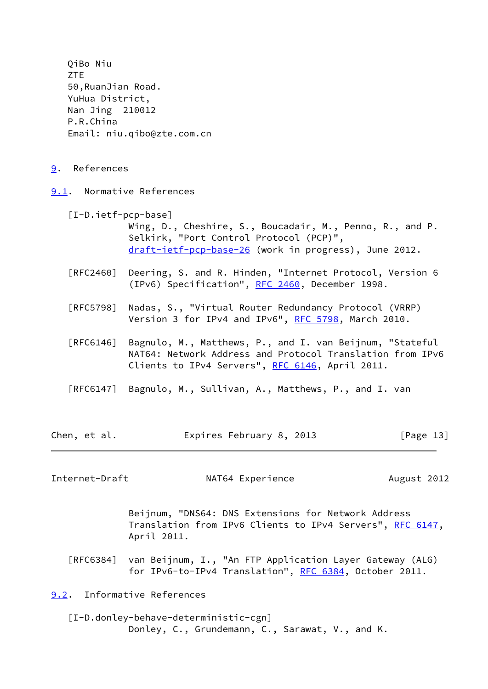<span id="page-14-1"></span><span id="page-14-0"></span> QiBo Niu ZTE 50,RuanJian Road. YuHua District, Nan Jing 210012 P.R.China Email: niu.qibo@zte.com.cn [9](#page-14-0). References [9.1](#page-14-1). Normative References [I-D.ietf-pcp-base] Wing, D., Cheshire, S., Boucadair, M., Penno, R., and P. Selkirk, "Port Control Protocol (PCP)", [draft-ietf-pcp-base-26](https://datatracker.ietf.org/doc/pdf/draft-ietf-pcp-base-26) (work in progress), June 2012. [RFC2460] Deering, S. and R. Hinden, "Internet Protocol, Version 6 (IPv6) Specification", [RFC 2460](https://datatracker.ietf.org/doc/pdf/rfc2460), December 1998. [RFC5798] Nadas, S., "Virtual Router Redundancy Protocol (VRRP) Version 3 for IPv4 and IPv6", [RFC 5798](https://datatracker.ietf.org/doc/pdf/rfc5798), March 2010. [RFC6146] Bagnulo, M., Matthews, P., and I. van Beijnum, "Stateful NAT64: Network Address and Protocol Translation from IPv6 Clients to IPv4 Servers", [RFC 6146](https://datatracker.ietf.org/doc/pdf/rfc6146), April 2011. [RFC6147] Bagnulo, M., Sullivan, A., Matthews, P., and I. van Chen, et al. **Expires February 8, 2013** [Page 13]

<span id="page-14-3"></span>Internet-Draft MAT64 Experience August 2012

 Beijnum, "DNS64: DNS Extensions for Network Address Translation from IPv6 Clients to IPv4 Servers", [RFC 6147,](https://datatracker.ietf.org/doc/pdf/rfc6147) April 2011.

 [RFC6384] van Beijnum, I., "An FTP Application Layer Gateway (ALG) for IPv6-to-IPv4 Translation", [RFC 6384](https://datatracker.ietf.org/doc/pdf/rfc6384), October 2011.

<span id="page-14-2"></span>[9.2](#page-14-2). Informative References

<span id="page-14-4"></span> [I-D.donley-behave-deterministic-cgn] Donley, C., Grundemann, C., Sarawat, V., and K.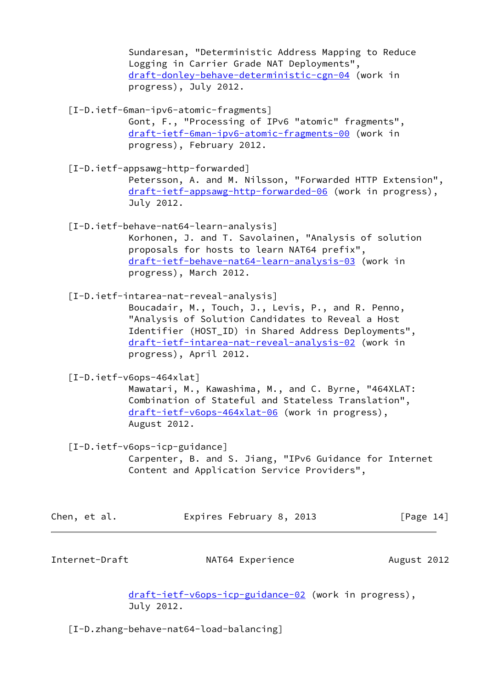Sundaresan, "Deterministic Address Mapping to Reduce Logging in Carrier Grade NAT Deployments", [draft-donley-behave-deterministic-cgn-04](https://datatracker.ietf.org/doc/pdf/draft-donley-behave-deterministic-cgn-04) (work in progress), July 2012.

<span id="page-15-5"></span> [I-D.ietf-6man-ipv6-atomic-fragments] Gont, F., "Processing of IPv6 "atomic" fragments", [draft-ietf-6man-ipv6-atomic-fragments-00](https://datatracker.ietf.org/doc/pdf/draft-ietf-6man-ipv6-atomic-fragments-00) (work in

progress), February 2012.

<span id="page-15-2"></span> [I-D.ietf-appsawg-http-forwarded] Petersson, A. and M. Nilsson, "Forwarded HTTP Extension", [draft-ietf-appsawg-http-forwarded-06](https://datatracker.ietf.org/doc/pdf/draft-ietf-appsawg-http-forwarded-06) (work in progress), July 2012.

 [I-D.ietf-behave-nat64-learn-analysis] Korhonen, J. and T. Savolainen, "Analysis of solution proposals for hosts to learn NAT64 prefix", [draft-ietf-behave-nat64-learn-analysis-03](https://datatracker.ietf.org/doc/pdf/draft-ietf-behave-nat64-learn-analysis-03) (work in progress), March 2012.

<span id="page-15-3"></span>[I-D.ietf-intarea-nat-reveal-analysis]

 Boucadair, M., Touch, J., Levis, P., and R. Penno, "Analysis of Solution Candidates to Reveal a Host Identifier (HOST\_ID) in Shared Address Deployments", [draft-ietf-intarea-nat-reveal-analysis-02](https://datatracker.ietf.org/doc/pdf/draft-ietf-intarea-nat-reveal-analysis-02) (work in progress), April 2012.

<span id="page-15-1"></span>[I-D.ietf-v6ops-464xlat]

 Mawatari, M., Kawashima, M., and C. Byrne, "464XLAT: Combination of Stateful and Stateless Translation", [draft-ietf-v6ops-464xlat-06](https://datatracker.ietf.org/doc/pdf/draft-ietf-v6ops-464xlat-06) (work in progress), August 2012.

<span id="page-15-6"></span>[I-D.ietf-v6ops-icp-guidance]

 Carpenter, B. and S. Jiang, "IPv6 Guidance for Internet Content and Application Service Providers",

| Chen, et al. |  | Expires February 8, 2013 |  | [Page 14] |  |
|--------------|--|--------------------------|--|-----------|--|
|              |  |                          |  |           |  |

<span id="page-15-0"></span>Internet-Draft **NAT64 Experience** August 2012

 [draft-ietf-v6ops-icp-guidance-02](https://datatracker.ietf.org/doc/pdf/draft-ietf-v6ops-icp-guidance-02) (work in progress), July 2012.

<span id="page-15-4"></span>[I-D.zhang-behave-nat64-load-balancing]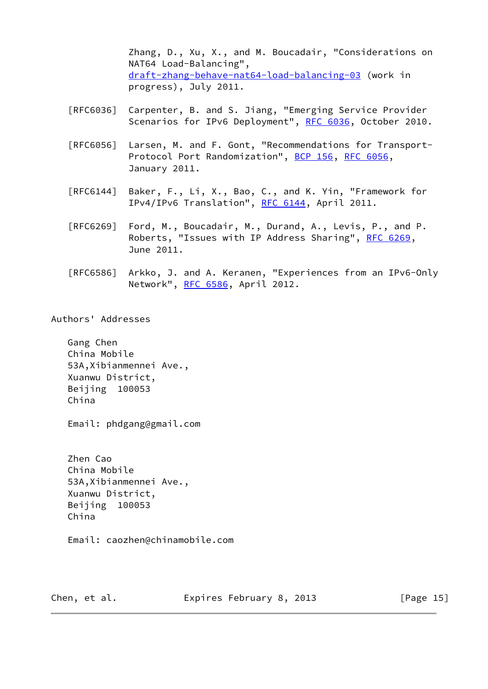Zhang, D., Xu, X., and M. Boucadair, "Considerations on NAT64 Load-Balancing", [draft-zhang-behave-nat64-load-balancing-03](https://datatracker.ietf.org/doc/pdf/draft-zhang-behave-nat64-load-balancing-03) (work in progress), July 2011.

- [RFC6036] Carpenter, B. and S. Jiang, "Emerging Service Provider Scenarios for IPv6 Deployment", [RFC 6036,](https://datatracker.ietf.org/doc/pdf/rfc6036) October 2010.
- [RFC6056] Larsen, M. and F. Gont, "Recommendations for Transport- Protocol Port Randomization", [BCP 156](https://datatracker.ietf.org/doc/pdf/bcp156), [RFC 6056](https://datatracker.ietf.org/doc/pdf/rfc6056), January 2011.
- [RFC6144] Baker, F., Li, X., Bao, C., and K. Yin, "Framework for IPv4/IPv6 Translation", [RFC 6144,](https://datatracker.ietf.org/doc/pdf/rfc6144) April 2011.
- [RFC6269] Ford, M., Boucadair, M., Durand, A., Levis, P., and P. Roberts, "Issues with IP Address Sharing", [RFC 6269](https://datatracker.ietf.org/doc/pdf/rfc6269), June 2011.
- [RFC6586] Arkko, J. and A. Keranen, "Experiences from an IPv6-Only Network", [RFC 6586](https://datatracker.ietf.org/doc/pdf/rfc6586), April 2012.

Authors' Addresses

 Gang Chen China Mobile 53A,Xibianmennei Ave., Xuanwu District, Beijing 100053 China

Email: phdgang@gmail.com

 Zhen Cao China Mobile 53A,Xibianmennei Ave., Xuanwu District, Beijing 100053 China

Email: caozhen@chinamobile.com

Chen, et al. **Expires February 8, 2013** [Page 15]